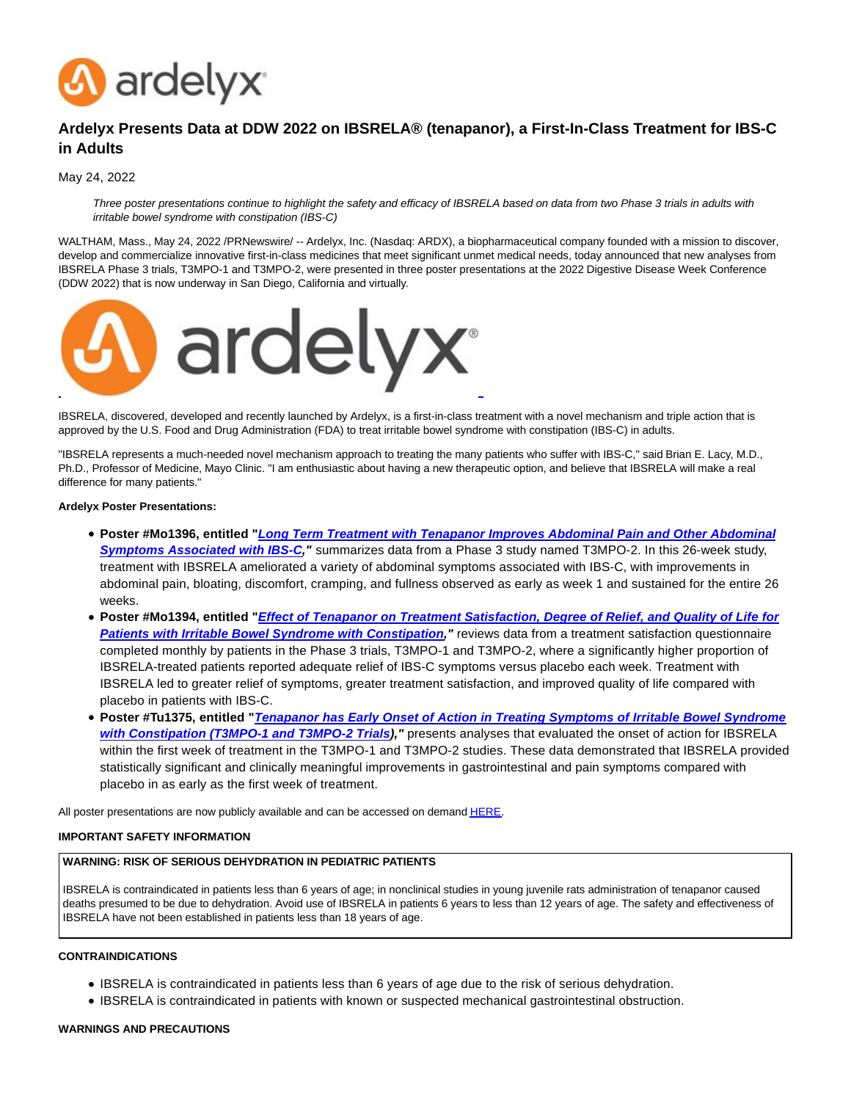

# **Ardelyx Presents Data at DDW 2022 on IBSRELA® (tenapanor), a First-In-Class Treatment for IBS-C in Adults**

May 24, 2022

Three poster presentations continue to highlight the safety and efficacy of IBSRELA based on data from two Phase 3 trials in adults with irritable bowel syndrome with constipation (IBS-C)

WALTHAM, Mass., May 24, 2022 /PRNewswire/ -- Ardelyx, Inc. (Nasdaq: ARDX), a biopharmaceutical company founded with a mission to discover, develop and commercialize innovative first-in-class medicines that meet significant unmet medical needs, today announced that new analyses from IBSRELA Phase 3 trials, T3MPO-1 and T3MPO-2, were presented in three poster presentations at the 2022 Digestive Disease Week Conference (DDW 2022) that is now underway in San Diego, California and virtually.



IBSRELA, discovered, developed and recently launched by Ardelyx, is a first-in-class treatment with a novel mechanism and triple action that is approved by the U.S. Food and Drug Administration (FDA) to treat irritable bowel syndrome with constipation (IBS-C) in adults.

"IBSRELA represents a much-needed novel mechanism approach to treating the many patients who suffer with IBS-C," said Brian E. Lacy, M.D., Ph.D., Professor of Medicine, Mayo Clinic. "I am enthusiastic about having a new therapeutic option, and believe that IBSRELA will make a real difference for many patients."

#### **Ardelyx Poster Presentations:**

- **Poster #Mo1396, entitled "[Long Term Treatment with Tenapanor Improves Abdominal Pain and Other Abdominal](https://c212.net/c/link/?t=0&l=en&o=3546952-1&h=1187654346&u=https%3A%2F%2Fbit.ly%2FLemboAS&a=Long+Term+Treatment+with+Tenapanor+Improves+Abdominal+Pain+and+Other+Abdominal+Symptoms+Associated+with+IBS-C) Symptoms Associated with IBS-C,"** summarizes data from a Phase 3 study named T3MPO-2. In this 26-week study, treatment with IBSRELA ameliorated a variety of abdominal symptoms associated with IBS-C, with improvements in abdominal pain, bloating, discomfort, cramping, and fullness observed as early as week 1 and sustained for the entire 26 weeks.
- **Poster #Mo1394, entitled "[Effect of Tenapanor on Treatment Satisfaction, Degree of Relief, and Quality of Life for](https://c212.net/c/link/?t=0&l=en&o=3546952-1&h=2233741002&u=https%3A%2F%2Fbit.ly%2FCheyQoL&a=Effect+of+Tenapanor+on+Treatment+Satisfaction%2C+Degree+of+Relief%2C+and+Quality+of+Life+for+Patients+with+Irritable+Bowel+Syndrome+with+Constipation) Patients with Irritable Bowel Syndrome with Constipation,"** reviews data from a treatment satisfaction questionnaire completed monthly by patients in the Phase 3 trials, T3MPO-1 and T3MPO-2, where a significantly higher proportion of IBSRELA-treated patients reported adequate relief of IBS-C symptoms versus placebo each week. Treatment with IBSRELA led to greater relief of symptoms, greater treatment satisfaction, and improved quality of life compared with placebo in patients with IBS-C.
- **Poster #Tu1375, entitled "[Tenapanor has Early Onset of Action in Treating Symptoms of Irritable Bowel Syndrome](https://c212.net/c/link/?t=0&l=en&o=3546952-1&h=3189208198&u=https%3A%2F%2Fbit.ly%2FFogelOnset&a=Tenapanor+has+Early+Onset+of+Action+in+Treating+Symptoms+of+Irritable+Bowel+Syndrome+with+Constipation+(T3MPO-1+and+T3MPO-2+Trials) with Constipation (T3MPO-1 and T3MPO-2 Trials),"** presents analyses that evaluated the onset of action for IBSRELA within the first week of treatment in the T3MPO-1 and T3MPO-2 studies. These data demonstrated that IBSRELA provided statistically significant and clinically meaningful improvements in gastrointestinal and pain symptoms compared with placebo in as early as the first week of treatment.

All poster presentations are now publicly available and can be accessed on deman[d HERE.](https://c212.net/c/link/?t=0&l=en&o=3546952-1&h=200733637&u=https%3A%2F%2Fddw.org%2Fattendee-planning%2Fonline-planner%2F&a=HERE)

### **IMPORTANT SAFETY INFORMATION**

# **WARNING: RISK OF SERIOUS DEHYDRATION IN PEDIATRIC PATIENTS**

IBSRELA is contraindicated in patients less than 6 years of age; in nonclinical studies in young juvenile rats administration of tenapanor caused deaths presumed to be due to dehydration. Avoid use of IBSRELA in patients 6 years to less than 12 years of age. The safety and effectiveness of IBSRELA have not been established in patients less than 18 years of age.

# **CONTRAINDICATIONS**

- IBSRELA is contraindicated in patients less than 6 years of age due to the risk of serious dehydration.
- IBSRELA is contraindicated in patients with known or suspected mechanical gastrointestinal obstruction.